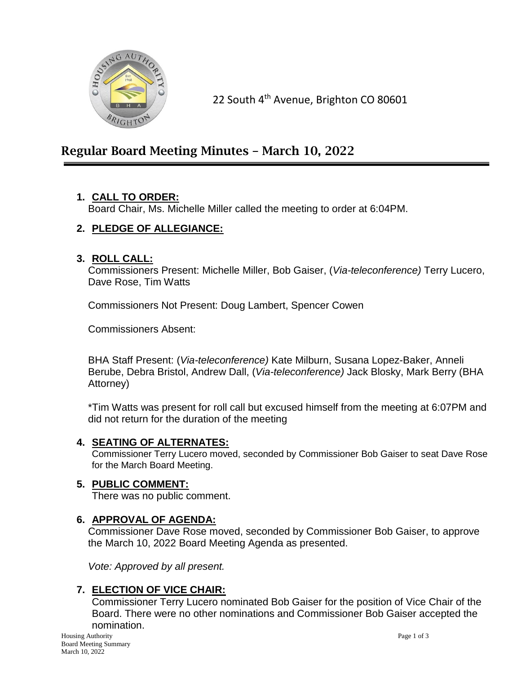

22 South 4<sup>th</sup> Avenue, Brighton CO 80601

# Regular Board Meeting Minutes – March 10, 2022

## **1. CALL TO ORDER:**

Board Chair, Ms. Michelle Miller called the meeting to order at 6:04PM.

# **2. PLEDGE OF ALLEGIANCE:**

#### **3. ROLL CALL:**

Commissioners Present: Michelle Miller, Bob Gaiser, (*Via-teleconference)* Terry Lucero, Dave Rose, Tim Watts

Commissioners Not Present: Doug Lambert, Spencer Cowen

Commissioners Absent:

BHA Staff Present: (*Via-teleconference)* Kate Milburn, Susana Lopez-Baker, Anneli Berube, Debra Bristol, Andrew Dall, (*Via-teleconference)* Jack Blosky, Mark Berry (BHA Attorney)

\*Tim Watts was present for roll call but excused himself from the meeting at 6:07PM and did not return for the duration of the meeting

## **4. SEATING OF ALTERNATES:**

Commissioner Terry Lucero moved, seconded by Commissioner Bob Gaiser to seat Dave Rose for the March Board Meeting.

## **5. PUBLIC COMMENT:**

There was no public comment.

#### **6. APPROVAL OF AGENDA:**

Commissioner Dave Rose moved, seconded by Commissioner Bob Gaiser, to approve the March 10, 2022 Board Meeting Agenda as presented.

*Vote: Approved by all present.*

## **7. ELECTION OF VICE CHAIR:**

Commissioner Terry Lucero nominated Bob Gaiser for the position of Vice Chair of the Board. There were no other nominations and Commissioner Bob Gaiser accepted the nomination.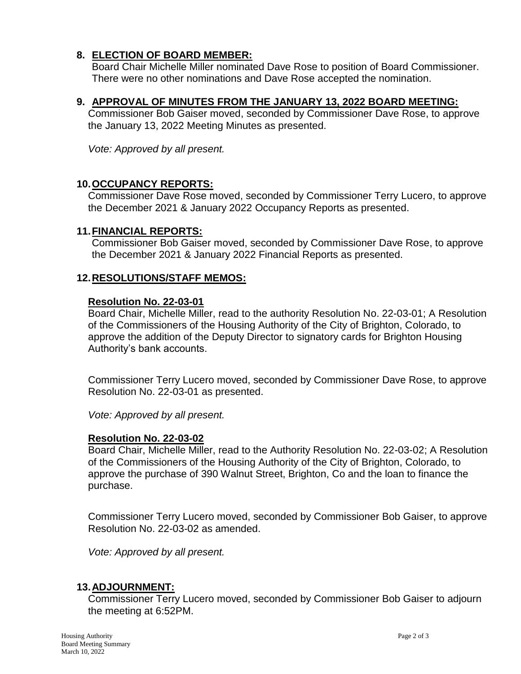### **8. ELECTION OF BOARD MEMBER:**

Board Chair Michelle Miller nominated Dave Rose to position of Board Commissioner. There were no other nominations and Dave Rose accepted the nomination.

#### **9. APPROVAL OF MINUTES FROM THE JANUARY 13, 2022 BOARD MEETING:**

Commissioner Bob Gaiser moved, seconded by Commissioner Dave Rose, to approve the January 13, 2022 Meeting Minutes as presented.

*Vote: Approved by all present.*

#### **10.OCCUPANCY REPORTS:**

Commissioner Dave Rose moved, seconded by Commissioner Terry Lucero, to approve the December 2021 & January 2022 Occupancy Reports as presented.

#### **11.FINANCIAL REPORTS:**

Commissioner Bob Gaiser moved, seconded by Commissioner Dave Rose, to approve the December 2021 & January 2022 Financial Reports as presented.

#### **12.RESOLUTIONS/STAFF MEMOS:**

#### **Resolution No. 22-03-01**

Board Chair, Michelle Miller, read to the authority Resolution No. 22-03-01; A Resolution of the Commissioners of the Housing Authority of the City of Brighton, Colorado, to approve the addition of the Deputy Director to signatory cards for Brighton Housing Authority's bank accounts.

Commissioner Terry Lucero moved, seconded by Commissioner Dave Rose, to approve Resolution No. 22-03-01 as presented.

*Vote: Approved by all present.*

#### **Resolution No. 22-03-02**

Board Chair, Michelle Miller, read to the Authority Resolution No. 22-03-02; A Resolution of the Commissioners of the Housing Authority of the City of Brighton, Colorado, to approve the purchase of 390 Walnut Street, Brighton, Co and the loan to finance the purchase.

Commissioner Terry Lucero moved, seconded by Commissioner Bob Gaiser, to approve Resolution No. 22-03-02 as amended.

*Vote: Approved by all present.*

#### **13.ADJOURNMENT:**

Commissioner Terry Lucero moved, seconded by Commissioner Bob Gaiser to adjourn the meeting at 6:52PM.